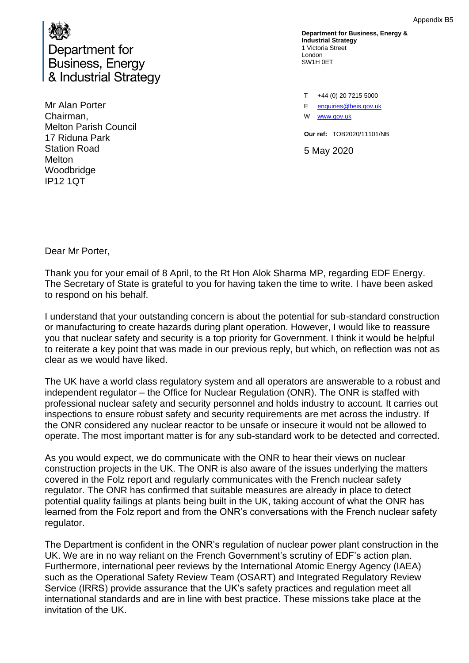

Mr Alan Porter Chairman, Melton Parish Council 17 Riduna Park Station Road **Melton** Woodbridge IP12 1QT

**Department for Business, Energy & Industrial Strategy** 1 Victoria Street London SW1H 0ET

T +44 (0) 20 7215 5000 E [enquiries@beis.gov.uk](mailto:enquiries@beis.gov.uk) W [www.gov.uk](http://www.gov.uk/)

**Our ref:** TOB2020/11101/NB

5 May 2020

Dear Mr Porter,

Thank you for your email of 8 April, to the Rt Hon Alok Sharma MP, regarding EDF Energy. The Secretary of State is grateful to you for having taken the time to write. I have been asked to respond on his behalf.

I understand that your outstanding concern is about the potential for sub-standard construction or manufacturing to create hazards during plant operation. However, I would like to reassure you that nuclear safety and security is a top priority for Government. I think it would be helpful to reiterate a key point that was made in our previous reply, but which, on reflection was not as clear as we would have liked.

The UK have a world class regulatory system and all operators are answerable to a robust and independent regulator – the Office for Nuclear Regulation (ONR). The ONR is staffed with professional nuclear safety and security personnel and holds industry to account. It carries out inspections to ensure robust safety and security requirements are met across the industry. If the ONR considered any nuclear reactor to be unsafe or insecure it would not be allowed to operate. The most important matter is for any sub-standard work to be detected and corrected.

As you would expect, we do communicate with the ONR to hear their views on nuclear construction projects in the UK. The ONR is also aware of the issues underlying the matters covered in the Folz report and regularly communicates with the French nuclear safety regulator. The ONR has confirmed that suitable measures are already in place to detect potential quality failings at plants being built in the UK, taking account of what the ONR has learned from the Folz report and from the ONR's conversations with the French nuclear safety regulator.

The Department is confident in the ONR's regulation of nuclear power plant construction in the UK. We are in no way reliant on the French Government's scrutiny of EDF's action plan. Furthermore, international peer reviews by the International Atomic Energy Agency (IAEA) such as the Operational Safety Review Team (OSART) and Integrated Regulatory Review Service (IRRS) provide assurance that the UK's safety practices and regulation meet all international standards and are in line with best practice. These missions take place at the invitation of the UK.